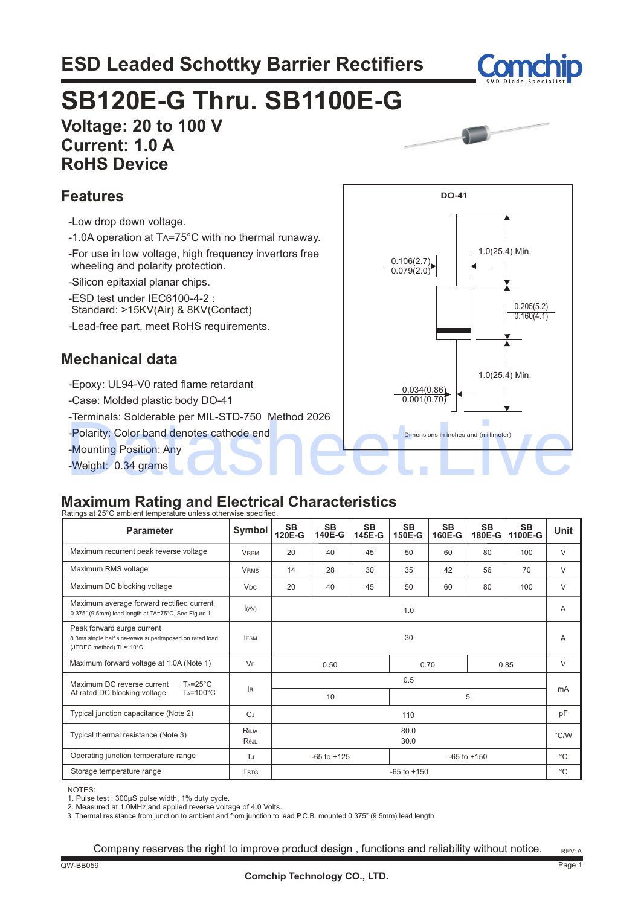## **ESD Leaded Schottky Barrier Rectifiers**



# **Voltage: 20 to 100 V SB120E-G Thru. SB1100E-G**

 **Current: 1.0 A RoHS Device**



1.0(25.4) Min.

0.205(5.2)  $0.160(4.1)$ 

1.0(25.4) Min.

**DO-41**

0.106(2.7) 0.079(2.0)

> 0.034(0.86) 0.001(0.70)

### **Features**

- -Low drop down voltage.
- -1.0A operation at TA=75°C with no thermal runaway.
- -For use in low voltage, high frequency invertors free wheeling and polarity protection.
- -Silicon epitaxial planar chips.
- -ESD test under IEC6100-4-2 :
- Standard: >15KV(Air) & 8KV(Contact)
- -Lead-free part, meet RoHS requirements.

### **Mechanical data**

- -Epoxy: UL94-V0 rated flame retardant
- -Case: Molded plastic body DO-41
- -Terminals: Solderable per MIL-STD-750 Method 2026
- -Polarity: Color band denotes cathode end
- -Mounting Position: Any
- -Weight: 0.34 grams

### **Maximum Rating and Electrical Characteristics**

| -Polarity: Color band denotes cathode end<br>-Mounting Position: Any<br>-Weight: 0.34 grams<br><b>Maximum Rating and Electrical Characteristics</b>                                                                                                 |                         |                                    |              |              |                 | Dimensions in inches and (millimeter) |                     |               |              |
|-----------------------------------------------------------------------------------------------------------------------------------------------------------------------------------------------------------------------------------------------------|-------------------------|------------------------------------|--------------|--------------|-----------------|---------------------------------------|---------------------|---------------|--------------|
| Ratings at 25°C ambient temperature unless otherwise specified.<br><b>Parameter</b>                                                                                                                                                                 | Symbol                  | SB<br>120E-G                       | SВ<br>140E-G | SΒ<br>145E-G | SB.<br>150E-G   | SΒ<br>160E-G                          | <b>SB</b><br>180E-G | SВ<br>1100E-G | <b>Unit</b>  |
| Maximum recurrent peak reverse voltage                                                                                                                                                                                                              | <b>VRRM</b>             | 20                                 | 40           | 45           | 50              | 60                                    | 80                  | 100           | V            |
| Maximum RMS voltage                                                                                                                                                                                                                                 | <b>VRMS</b>             | 14                                 | 28           | 30           | 35              | 42                                    | 56                  | 70            | V            |
| Maximum DC blocking voltage                                                                                                                                                                                                                         | <b>V<sub>DC</sub></b>   | 20                                 | 40           | 45           | 50              | 60                                    | 80                  | 100           | V            |
| Maximum average forward rectified current<br>0.375" (9.5mm) lead length at TA=75°C, See Figure 1                                                                                                                                                    | I(AV)                   | 1.0                                |              |              |                 | A                                     |                     |               |              |
| Peak forward surge current<br>8.3ms single half sine-wave superimposed on rated load<br>(JEDEC method) TL=110°C                                                                                                                                     | <b>IFSM</b>             | 30                                 |              |              | A               |                                       |                     |               |              |
| Maximum forward voltage at 1.0A (Note 1)                                                                                                                                                                                                            | VF                      |                                    | 0.50         |              |                 | 0.70                                  |                     | 0.85          | $\vee$       |
| $Ta=25^{\circ}C$<br>Maximum DC reverse current<br>$Ta=100^{\circ}C$<br>At rated DC blocking voltage                                                                                                                                                 | lR.                     | 0.5<br>5<br>10                     |              |              |                 | mA                                    |                     |               |              |
| Typical junction capacitance (Note 2)                                                                                                                                                                                                               | $C_J$                   | 110                                |              |              |                 | рF                                    |                     |               |              |
| Typical thermal resistance (Note 3)                                                                                                                                                                                                                 | Reja<br>Rejl            | 80.0<br>30.0                       |              |              | $\degree$ C/W   |                                       |                     |               |              |
| Operating junction temperature range                                                                                                                                                                                                                | T.                      | $-65$ to $+150$<br>$-65$ to $+125$ |              |              | °C              |                                       |                     |               |              |
| Storage temperature range                                                                                                                                                                                                                           | <b>T</b> <sub>STG</sub> |                                    |              |              | $-65$ to $+150$ |                                       |                     |               | $^{\circ}$ C |
| NOTES:<br>1. Pulse test: 300µS pulse width, 1% duty cycle.<br>2. Measured at 1.0MHz and applied reverse voltage of 4.0 Volts.<br>3. Thermal resistance from junction to ambient and from junction to lead P.C.B. mounted 0.375" (9.5mm) lead length |                         |                                    |              |              |                 |                                       |                     |               |              |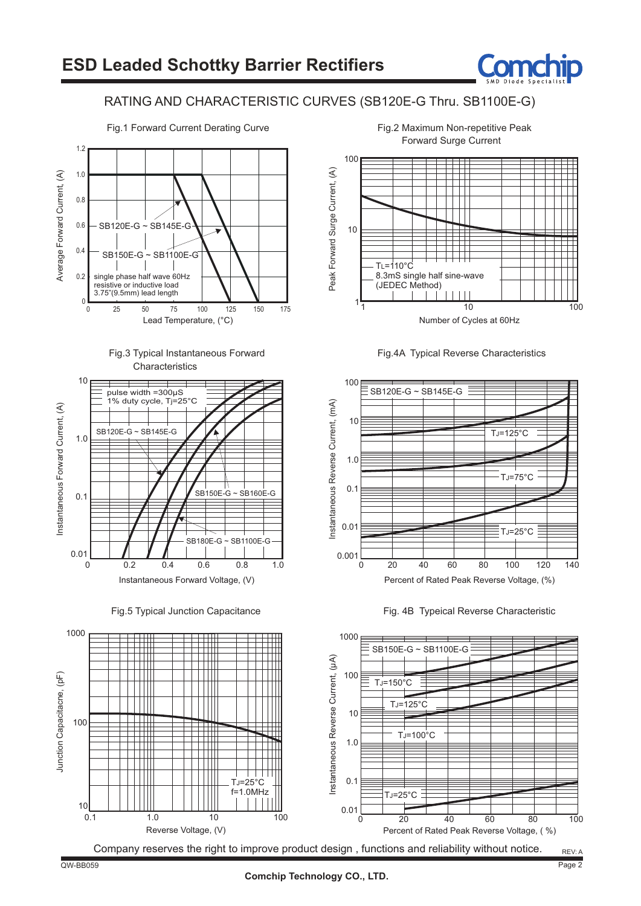

### RATING AND CHARACTERISTIC CURVES (SB120E-G Thru. SB1100E-G)



Fig.3 Typical Instantaneous Forward **Characteristics** 



Instantaneous Forward Voltage, (V)

Fig.5 Typical Junction Capacitance





Number of Cycles at 60Hz

 $1\frac{1}{1}$  10 100







#### Fig.2 Maximum Non-repetitive Peak Forward Surge Current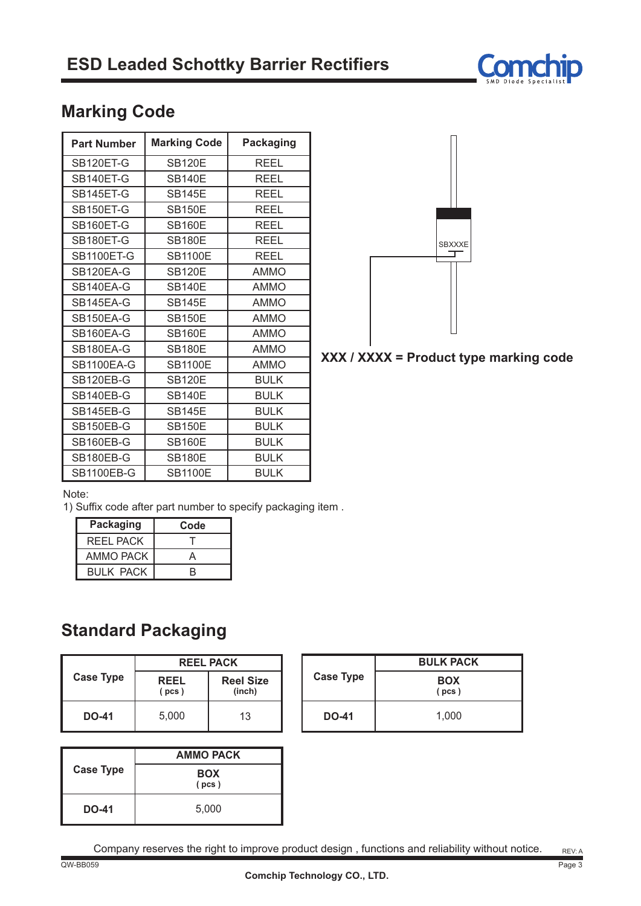

### **Marking Code**

| <b>Part Number</b> | <b>Marking Code</b> | <b>Packaging</b> |
|--------------------|---------------------|------------------|
| SB120ET-G          | <b>SB120E</b>       | <b>REEL</b>      |
| SB140ET-G          | <b>SB140E</b>       | REEL             |
| SB145ET-G          | <b>SB145E</b>       | REEL             |
| SB150ET-G          | <b>SB150E</b>       | REEL             |
| SB160ET-G          | <b>SB160E</b>       | <b>REEL</b>      |
| SB180ET-G          | <b>SB180E</b>       | REEL             |
| <b>SB1100ET-G</b>  | <b>SB1100E</b>      | <b>REEL</b>      |
| SB120EA-G          | <b>SB120E</b>       | <b>AMMO</b>      |
| SB140EA-G          | <b>SB140E</b>       | <b>AMMO</b>      |
| SB145EA-G          | <b>SB145E</b>       | <b>AMMO</b>      |
| SB150EA-G          | <b>SB150E</b>       | <b>AMMO</b>      |
| SB160EA-G          | <b>SB160E</b>       | <b>AMMO</b>      |
| SB180EA-G          | <b>SB180E</b>       | <b>AMMO</b>      |
| <b>SB1100EA-G</b>  | <b>SB1100E</b>      | <b>AMMO</b>      |
| SB120EB-G          | <b>SB120E</b>       | <b>BULK</b>      |
| SB140EB-G          | <b>SB140E</b>       | <b>BULK</b>      |
| SB145EB-G          | <b>SB145E</b>       | <b>BULK</b>      |
| SB150EB-G          | <b>SB150E</b>       | <b>BULK</b>      |
| SB160EB-G          | <b>SB160E</b>       | <b>BULK</b>      |
| SB180EB-G          | <b>SB180E</b>       | <b>BULK</b>      |
| <b>SB1100EB-G</b>  | <b>SB1100E</b>      | <b>BULK</b>      |



### **XXX / XXXX = Product type marking code**

Note:

1) Suffix code after part number to specify packaging item .

| <b>Packaging</b> | Code |
|------------------|------|
| REEL PACK        |      |
| AMMO PACK        |      |
| <b>BULK PACK</b> |      |

### **Standard Packaging**

|                  | <b>REEL PACK</b> |                            |  |  |
|------------------|------------------|----------------------------|--|--|
| <b>Case Type</b> | REEL<br>(pcs)    | <b>Reel Size</b><br>(inch) |  |  |
| <b>DO-41</b>     | 5,000            | 13                         |  |  |

| <b>Case Type</b> | <b>AMMO PACK</b>    |  |  |
|------------------|---------------------|--|--|
|                  | <b>BOX</b><br>(pcs) |  |  |
| <b>DO-41</b>     | 5,000               |  |  |

| <b>Case Type</b> | <b>BULK PACK</b>    |
|------------------|---------------------|
|                  | <b>BOX</b><br>(pcs) |
| <b>DO-41</b>     | 1,000               |

Company reserves the right to improve product design , functions and reliability without notice.